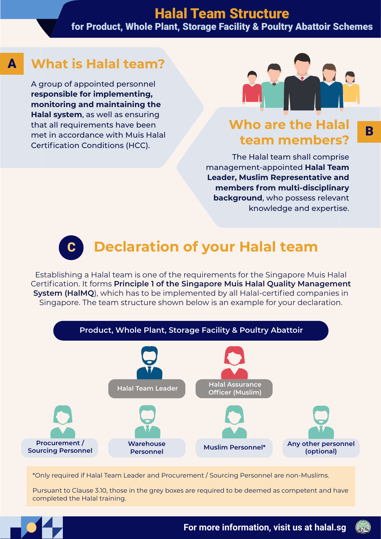## Halal Team Structure

for Product, Whole Plant, Storage Facility & Poultry Abattoir Schemes

#### A **What is Halal team?**

A group of appointed personnel **responsible for implementing, monitoring and maintaining the Halal system**, as well as ensuring that all requirements have been met in accordance with Muis Halal Certification Conditions (HCC).



B

### **Who are the Halal team members?**

The Halal team shall comprise management-appointed **Halal Team Leader, Muslim Representative and members from multi-disciplinary background**, who possess relevant knowledge and expertise.

# C **Declaration of your Halal team**

Establishing a Halal team is one of the requirements for the Singapore Muis Halal Certification. It forms **Principle 1 of the Singapore Muis Halal Quality Management System (HalMQ**), which has to be implemented by all Halal-certified companies in Singapore. The team structure shown below is an example for your declaration.



\*Only required if Halal Team Leader and Procurement / Sourcing Personnel are non-Muslims.

Pursuant to Clause 3.10, those in the grey boxes are required to be deemed as competent and have completed the Halal training.